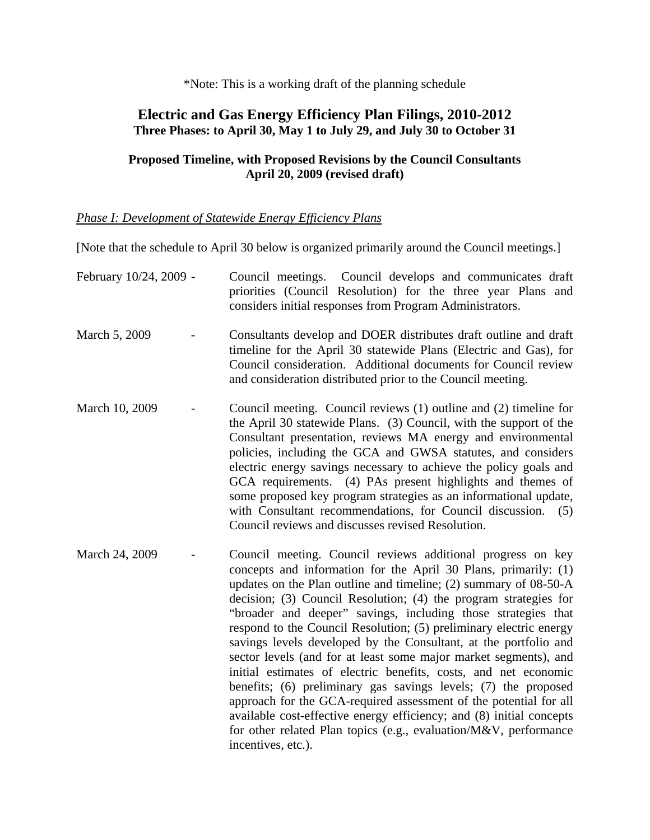\*Note: This is a working draft of the planning schedule

## **Electric and Gas Energy Efficiency Plan Filings, 2010-2012 Three Phases: to April 30, May 1 to July 29, and July 30 to October 31**

## **Proposed Timeline, with Proposed Revisions by the Council Consultants April 20, 2009 (revised draft)**

## *Phase I: Development of Statewide Energy Efficiency Plans*

[Note that the schedule to April 30 below is organized primarily around the Council meetings.]

| February 10/24, 2009 - | Council meetings. Council develops and communicates draft<br>priorities (Council Resolution) for the three year Plans and<br>considers initial responses from Program Administrators.                                                                                                                                                                                                                                                                                                                                                                                                                                                                                                                                                                                                                                                                                                                                               |
|------------------------|-------------------------------------------------------------------------------------------------------------------------------------------------------------------------------------------------------------------------------------------------------------------------------------------------------------------------------------------------------------------------------------------------------------------------------------------------------------------------------------------------------------------------------------------------------------------------------------------------------------------------------------------------------------------------------------------------------------------------------------------------------------------------------------------------------------------------------------------------------------------------------------------------------------------------------------|
| March 5, 2009          | Consultants develop and DOER distributes draft outline and draft<br>timeline for the April 30 statewide Plans (Electric and Gas), for<br>Council consideration. Additional documents for Council review<br>and consideration distributed prior to the Council meeting.                                                                                                                                                                                                                                                                                                                                                                                                                                                                                                                                                                                                                                                              |
| March 10, 2009         | Council meeting. Council reviews (1) outline and (2) timeline for<br>the April 30 statewide Plans. (3) Council, with the support of the<br>Consultant presentation, reviews MA energy and environmental<br>policies, including the GCA and GWSA statutes, and considers<br>electric energy savings necessary to achieve the policy goals and<br>GCA requirements. (4) PAs present highlights and themes of<br>some proposed key program strategies as an informational update,<br>with Consultant recommendations, for Council discussion.<br>(5)<br>Council reviews and discusses revised Resolution.                                                                                                                                                                                                                                                                                                                              |
| March 24, 2009         | Council meeting. Council reviews additional progress on key<br>concepts and information for the April 30 Plans, primarily: (1)<br>updates on the Plan outline and timeline; $(2)$ summary of 08-50-A<br>decision; (3) Council Resolution; (4) the program strategies for<br>"broader and deeper" savings, including those strategies that<br>respond to the Council Resolution; (5) preliminary electric energy<br>savings levels developed by the Consultant, at the portfolio and<br>sector levels (and for at least some major market segments), and<br>initial estimates of electric benefits, costs, and net economic<br>benefits; (6) preliminary gas savings levels; (7) the proposed<br>approach for the GCA-required assessment of the potential for all<br>available cost-effective energy efficiency; and (8) initial concepts<br>for other related Plan topics (e.g., evaluation/M&V, performance<br>incentives, etc.). |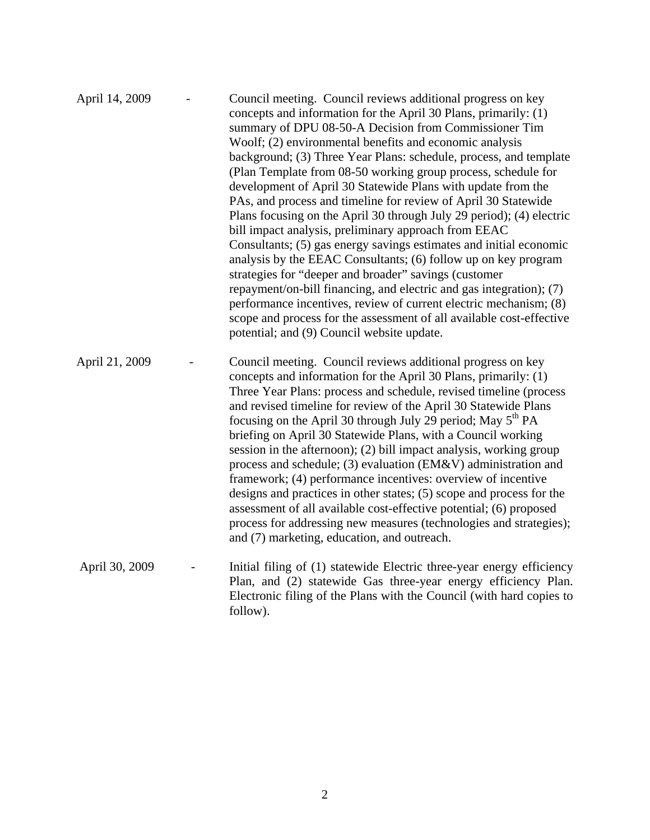| April 14, 2009 | Council meeting. Council reviews additional progress on key<br>concepts and information for the April 30 Plans, primarily: (1)<br>summary of DPU 08-50-A Decision from Commissioner Tim<br>Woolf; (2) environmental benefits and economic analysis<br>background; (3) Three Year Plans: schedule, process, and template<br>(Plan Template from 08-50 working group process, schedule for<br>development of April 30 Statewide Plans with update from the<br>PAs, and process and timeline for review of April 30 Statewide<br>Plans focusing on the April 30 through July 29 period); (4) electric<br>bill impact analysis, preliminary approach from EEAC<br>Consultants; (5) gas energy savings estimates and initial economic<br>analysis by the EEAC Consultants; (6) follow up on key program<br>strategies for "deeper and broader" savings (customer<br>repayment/on-bill financing, and electric and gas integration); (7)<br>performance incentives, review of current electric mechanism; (8)<br>scope and process for the assessment of all available cost-effective<br>potential; and (9) Council website update. |
|----------------|-------------------------------------------------------------------------------------------------------------------------------------------------------------------------------------------------------------------------------------------------------------------------------------------------------------------------------------------------------------------------------------------------------------------------------------------------------------------------------------------------------------------------------------------------------------------------------------------------------------------------------------------------------------------------------------------------------------------------------------------------------------------------------------------------------------------------------------------------------------------------------------------------------------------------------------------------------------------------------------------------------------------------------------------------------------------------------------------------------------------------------|
| April 21, 2009 | Council meeting. Council reviews additional progress on key<br>concepts and information for the April 30 Plans, primarily: (1)<br>Three Year Plans: process and schedule, revised timeline (process<br>and revised timeline for review of the April 30 Statewide Plans<br>focusing on the April 30 through July 29 period; May 5 <sup>th</sup> PA<br>briefing on April 30 Statewide Plans, with a Council working<br>session in the afternoon); (2) bill impact analysis, working group<br>process and schedule; (3) evaluation (EM&V) administration and<br>framework; (4) performance incentives: overview of incentive<br>designs and practices in other states; (5) scope and process for the<br>assessment of all available cost-effective potential; (6) proposed<br>process for addressing new measures (technologies and strategies);<br>and (7) marketing, education, and outreach.                                                                                                                                                                                                                                  |
| April 30, 2009 | Initial filing of (1) statewide Electric three-year energy efficiency<br>Plan, and (2) statewide Gas three-year energy efficiency Plan.<br>Electronic filing of the Plans with the Council (with hard copies to<br>follow).                                                                                                                                                                                                                                                                                                                                                                                                                                                                                                                                                                                                                                                                                                                                                                                                                                                                                                   |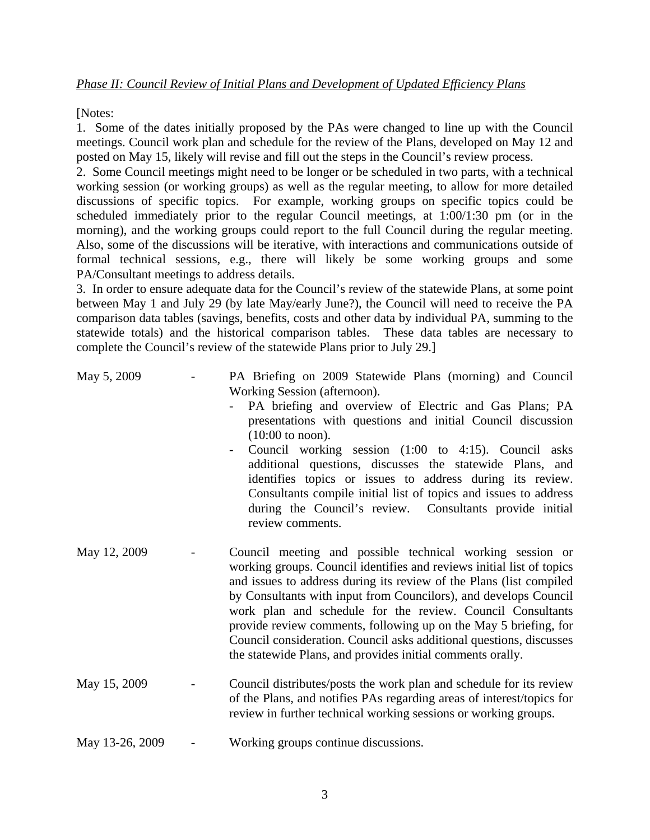[Notes:

1. Some of the dates initially proposed by the PAs were changed to line up with the Council meetings. Council work plan and schedule for the review of the Plans, developed on May 12 and posted on May 15, likely will revise and fill out the steps in the Council's review process.

2. Some Council meetings might need to be longer or be scheduled in two parts, with a technical working session (or working groups) as well as the regular meeting, to allow for more detailed discussions of specific topics. For example, working groups on specific topics could be scheduled immediately prior to the regular Council meetings, at 1:00/1:30 pm (or in the morning), and the working groups could report to the full Council during the regular meeting. Also, some of the discussions will be iterative, with interactions and communications outside of formal technical sessions, e.g., there will likely be some working groups and some PA/Consultant meetings to address details.

3. In order to ensure adequate data for the Council's review of the statewide Plans, at some point between May 1 and July 29 (by late May/early June?), the Council will need to receive the PA comparison data tables (savings, benefits, costs and other data by individual PA, summing to the statewide totals) and the historical comparison tables. These data tables are necessary to complete the Council's review of the statewide Plans prior to July 29.]

| May 5, 2009     | PA Briefing on 2009 Statewide Plans (morning) and Council<br>Working Session (afternoon).<br>PA briefing and overview of Electric and Gas Plans; PA<br>presentations with questions and initial Council discussion<br>$(10:00$ to noon).<br>Council working session (1:00 to 4:15). Council asks<br>additional questions, discusses the statewide Plans, and<br>identifies topics or issues to address during its review.<br>Consultants compile initial list of topics and issues to address<br>during the Council's review. Consultants provide initial<br>review comments. |
|-----------------|-------------------------------------------------------------------------------------------------------------------------------------------------------------------------------------------------------------------------------------------------------------------------------------------------------------------------------------------------------------------------------------------------------------------------------------------------------------------------------------------------------------------------------------------------------------------------------|
| May 12, 2009    | Council meeting and possible technical working session or<br>working groups. Council identifies and reviews initial list of topics<br>and issues to address during its review of the Plans (list compiled<br>by Consultants with input from Councilors), and develops Council<br>work plan and schedule for the review. Council Consultants<br>provide review comments, following up on the May 5 briefing, for<br>Council consideration. Council asks additional questions, discusses<br>the statewide Plans, and provides initial comments orally.                          |
| May 15, 2009    | Council distributes/posts the work plan and schedule for its review<br>of the Plans, and notifies PAs regarding areas of interest/topics for<br>review in further technical working sessions or working groups.                                                                                                                                                                                                                                                                                                                                                               |
| May 13-26, 2009 | Working groups continue discussions.                                                                                                                                                                                                                                                                                                                                                                                                                                                                                                                                          |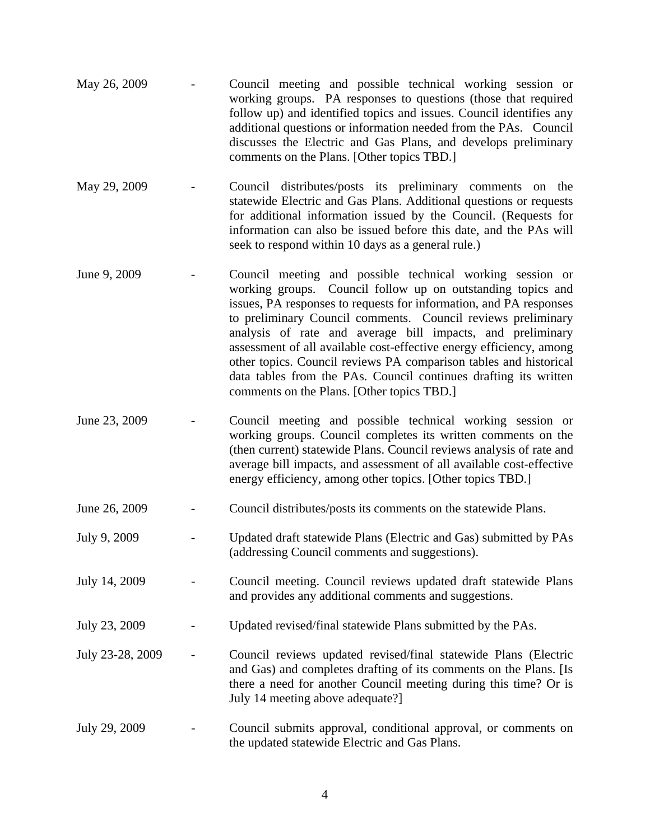| May 26, 2009 | $\sim 100$ | Council meeting and possible technical working session or           |
|--------------|------------|---------------------------------------------------------------------|
|              |            | working groups. PA responses to questions (those that required      |
|              |            | follow up) and identified topics and issues. Council identifies any |
|              |            | additional questions or information needed from the PAs. Council    |
|              |            | discusses the Electric and Gas Plans, and develops preliminary      |
|              |            | comments on the Plans. [Other topics TBD.]                          |

- May 29, 2009 Council distributes/posts its preliminary comments on the statewide Electric and Gas Plans. Additional questions or requests for additional information issued by the Council. (Requests for information can also be issued before this date, and the PAs will seek to respond within 10 days as a general rule.)
- June 9, 2009 Council meeting and possible technical working session or working groups. Council follow up on outstanding topics and issues, PA responses to requests for information, and PA responses to preliminary Council comments. Council reviews preliminary analysis of rate and average bill impacts, and preliminary assessment of all available cost-effective energy efficiency, among other topics. Council reviews PA comparison tables and historical data tables from the PAs. Council continues drafting its written comments on the Plans. [Other topics TBD.]
- June 23, 2009 Council meeting and possible technical working session or working groups. Council completes its written comments on the (then current) statewide Plans. Council reviews analysis of rate and average bill impacts, and assessment of all available cost-effective energy efficiency, among other topics. [Other topics TBD.]
- June 26, 2009 Council distributes/posts its comments on the statewide Plans.
- July 9, 2009 Updated draft statewide Plans (Electric and Gas) submitted by PAs (addressing Council comments and suggestions).
- July 14, 2009 Council meeting. Council reviews updated draft statewide Plans and provides any additional comments and suggestions.
- July 23, 2009 Updated revised/final statewide Plans submitted by the PAs.
- July 23-28, 2009 Council reviews updated revised/final statewide Plans (Electric and Gas) and completes drafting of its comments on the Plans. [Is there a need for another Council meeting during this time? Or is July 14 meeting above adequate?]
- July 29, 2009 Council submits approval, conditional approval, or comments on the updated statewide Electric and Gas Plans.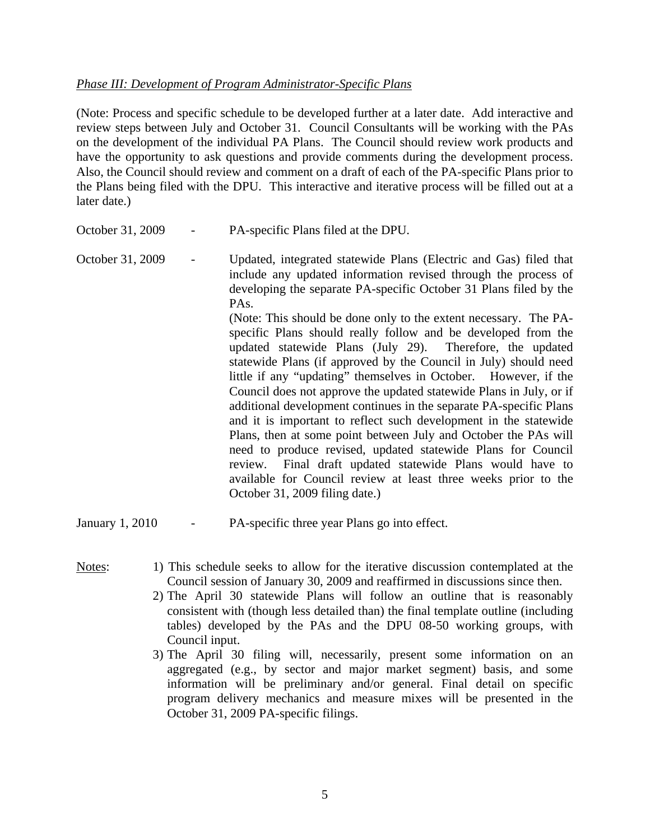## *Phase III: Development of Program Administrator-Specific Plans*

(Note: Process and specific schedule to be developed further at a later date. Add interactive and review steps between July and October 31. Council Consultants will be working with the PAs on the development of the individual PA Plans. The Council should review work products and have the opportunity to ask questions and provide comments during the development process. Also, the Council should review and comment on a draft of each of the PA-specific Plans prior to the Plans being filed with the DPU. This interactive and iterative process will be filled out at a later date.)

- October 31, 2009 PA-specific Plans filed at the DPU.
- October 31, 2009 Updated, integrated statewide Plans (Electric and Gas) filed that include any updated information revised through the process of developing the separate PA-specific October 31 Plans filed by the PAs. (Note: This should be done only to the extent necessary. The PAspecific Plans should really follow and be developed from the updated statewide Plans (July 29). Therefore, the updated statewide Plans (if approved by the Council in July) should need little if any "updating" themselves in October. However, if the Council does not approve the updated statewide Plans in July, or if additional development continues in the separate PA-specific Plans and it is important to reflect such development in the statewide Plans, then at some point between July and October the PAs will need to produce revised, updated statewide Plans for Council review. Final draft updated statewide Plans would have to available for Council review at least three weeks prior to the October 31, 2009 filing date.)

January 1, 2010 - PA-specific three year Plans go into effect.

- 
- Notes: 1) This schedule seeks to allow for the iterative discussion contemplated at the Council session of January 30, 2009 and reaffirmed in discussions since then.
	- 2) The April 30 statewide Plans will follow an outline that is reasonably consistent with (though less detailed than) the final template outline (including tables) developed by the PAs and the DPU 08-50 working groups, with Council input.
	- 3) The April 30 filing will, necessarily, present some information on an aggregated (e.g., by sector and major market segment) basis, and some information will be preliminary and/or general. Final detail on specific program delivery mechanics and measure mixes will be presented in the October 31, 2009 PA-specific filings.